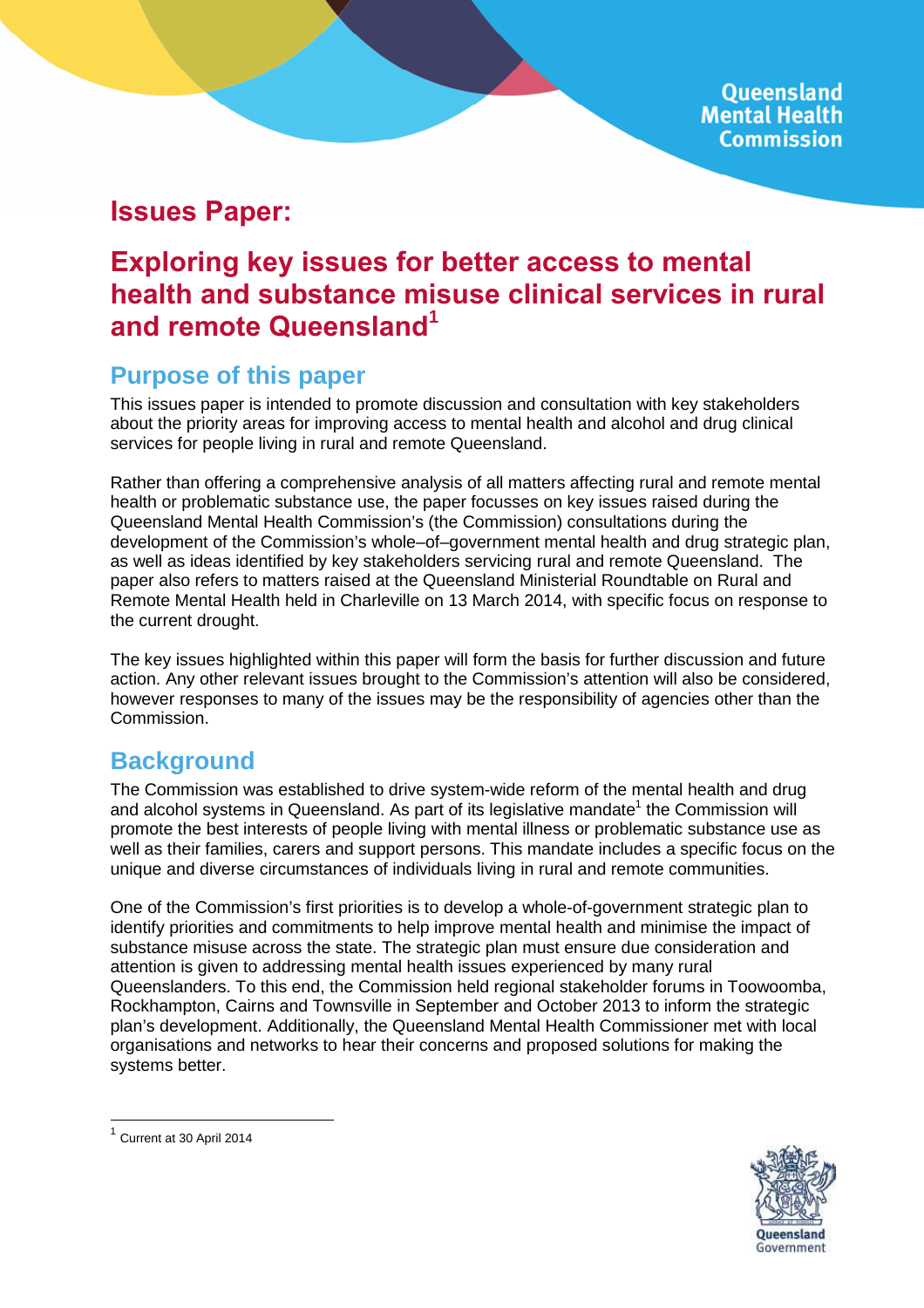# **Issues Paper:**

# **Exploring key issues for better access to mental health and substance misuse clinical services in rural and remote Queensland<sup>1</sup>**

# **Purpose of this paper**

This issues paper is intended to promote discussion and consultation with key stakeholders about the priority areas for improving access to mental health and alcohol and drug clinical services for people living in rural and remote Queensland.

Rather than offering a comprehensive analysis of all matters affecting rural and remote mental health or problematic substance use, the paper focusses on key issues raised during the Queensland Mental Health Commission's (the Commission) consultations during the development of the Commission's whole–of–government mental health and drug strategic plan, as well as ideas identified by key stakeholders servicing rural and remote Queensland. The paper also refers to matters raised at the Queensland Ministerial Roundtable on Rural and Remote Mental Health held in Charleville on 13 March 2014, with specific focus on response to the current drought.

The key issues highlighted within this paper will form the basis for further discussion and future action. Any other relevant issues brought to the Commission's attention will also be considered, however responses to many of the issues may be the responsibility of agencies other than the Commission.

# **Background**

The Commission was established to drive system-wide reform of the mental health and drug and alcohol systems in Queensland. As part of its legislative mandate<sup>1</sup> the Commission will promote the best interests of people living with mental illness or problematic substance use as well as their families, carers and support persons. This mandate includes a specific focus on the unique and diverse circumstances of individuals living in rural and remote communities.

One of the Commission's first priorities is to develop a whole-of-government strategic plan to identify priorities and commitments to help improve mental health and minimise the impact of substance misuse across the state. The strategic plan must ensure due consideration and attention is given to addressing mental health issues experienced by many rural Queenslanders. To this end, the Commission held regional stakeholder forums in Toowoomba, Rockhampton, Cairns and Townsville in September and October 2013 to inform the strategic plan's development. Additionally, the Queensland Mental Health Commissioner met with local organisations and networks to hear their concerns and proposed solutions for making the systems better.



<sup>&</sup>lt;sup>1</sup> Current at 30 April 2014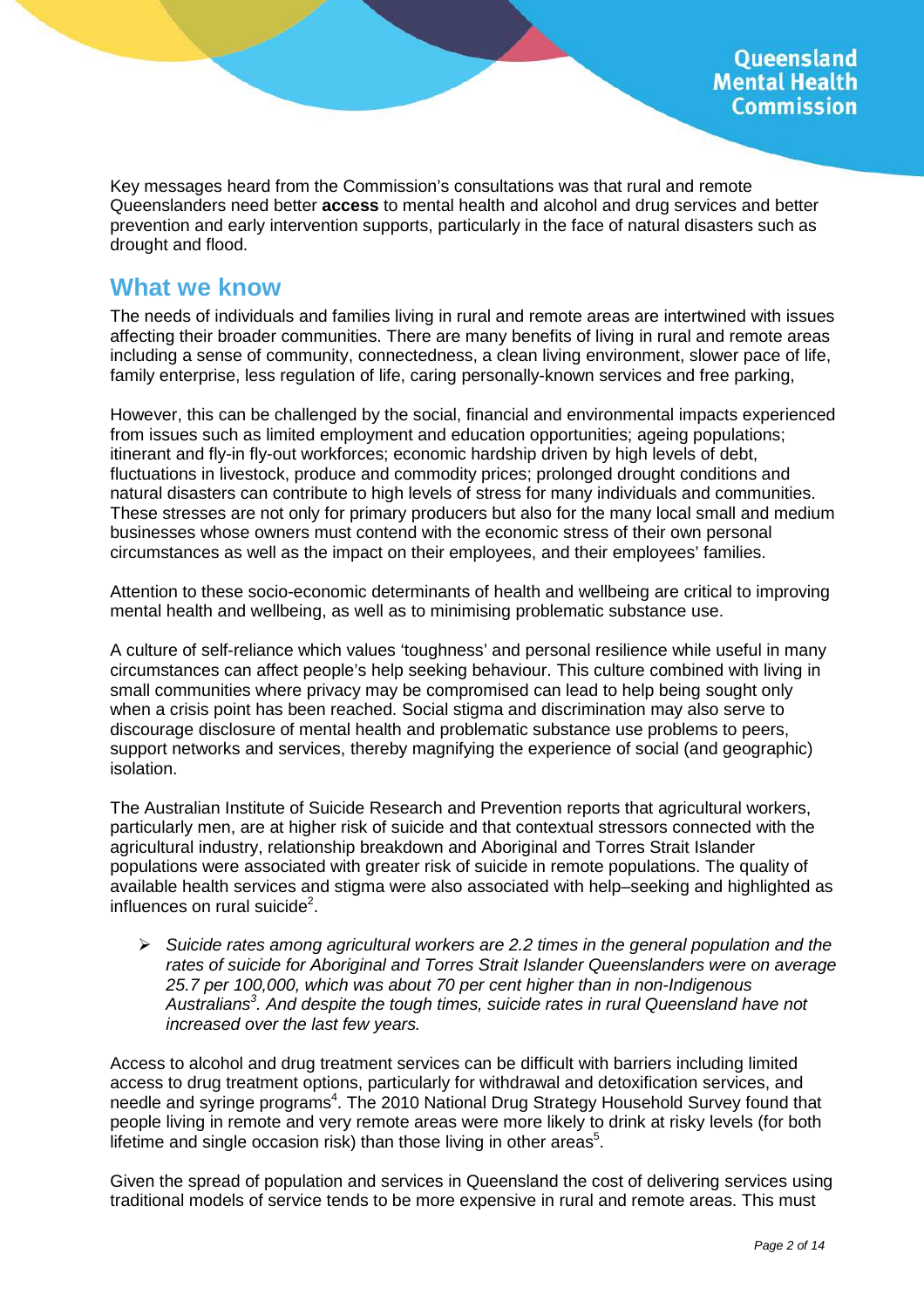Key messages heard from the Commission's consultations was that rural and remote Queenslanders need better **access** to mental health and alcohol and drug services and better prevention and early intervention supports, particularly in the face of natural disasters such as drought and flood.

## **What we know**

The needs of individuals and families living in rural and remote areas are intertwined with issues affecting their broader communities. There are many benefits of living in rural and remote areas including a sense of community, connectedness, a clean living environment, slower pace of life, family enterprise, less regulation of life, caring personally-known services and free parking,

However, this can be challenged by the social, financial and environmental impacts experienced from issues such as limited employment and education opportunities; ageing populations; itinerant and fly-in fly-out workforces; economic hardship driven by high levels of debt, fluctuations in livestock, produce and commodity prices; prolonged drought conditions and natural disasters can contribute to high levels of stress for many individuals and communities. These stresses are not only for primary producers but also for the many local small and medium businesses whose owners must contend with the economic stress of their own personal circumstances as well as the impact on their employees, and their employees' families.

Attention to these socio-economic determinants of health and wellbeing are critical to improving mental health and wellbeing, as well as to minimising problematic substance use.

A culture of self-reliance which values 'toughness' and personal resilience while useful in many circumstances can affect people's help seeking behaviour. This culture combined with living in small communities where privacy may be compromised can lead to help being sought only when a crisis point has been reached. Social stigma and discrimination may also serve to discourage disclosure of mental health and problematic substance use problems to peers, support networks and services, thereby magnifying the experience of social (and geographic) isolation.

The Australian Institute of Suicide Research and Prevention reports that agricultural workers, particularly men, are at higher risk of suicide and that contextual stressors connected with the agricultural industry, relationship breakdown and Aboriginal and Torres Strait Islander populations were associated with greater risk of suicide in remote populations. The quality of available health services and stigma were also associated with help–seeking and highlighted as influences on rural suicide<sup>2</sup>.

 $\triangleright$  Suicide rates among agricultural workers are 2.2 times in the general population and the rates of suicide for Aboriginal and Torres Strait Islander Queenslanders were on average 25.7 per 100,000, which was about 70 per cent higher than in non-Indigenous Australians<sup>3</sup>. And despite the tough times, suicide rates in rural Queensland have not increased over the last few years.

Access to alcohol and drug treatment services can be difficult with barriers including limited access to drug treatment options, particularly for withdrawal and detoxification services, and needle and syringe programs<sup>4</sup>. The 2010 National Drug Strategy Household Survey found that people living in remote and very remote areas were more likely to drink at risky levels (for both lifetime and single occasion risk) than those living in other areas<sup>5</sup>.

Given the spread of population and services in Queensland the cost of delivering services using traditional models of service tends to be more expensive in rural and remote areas. This must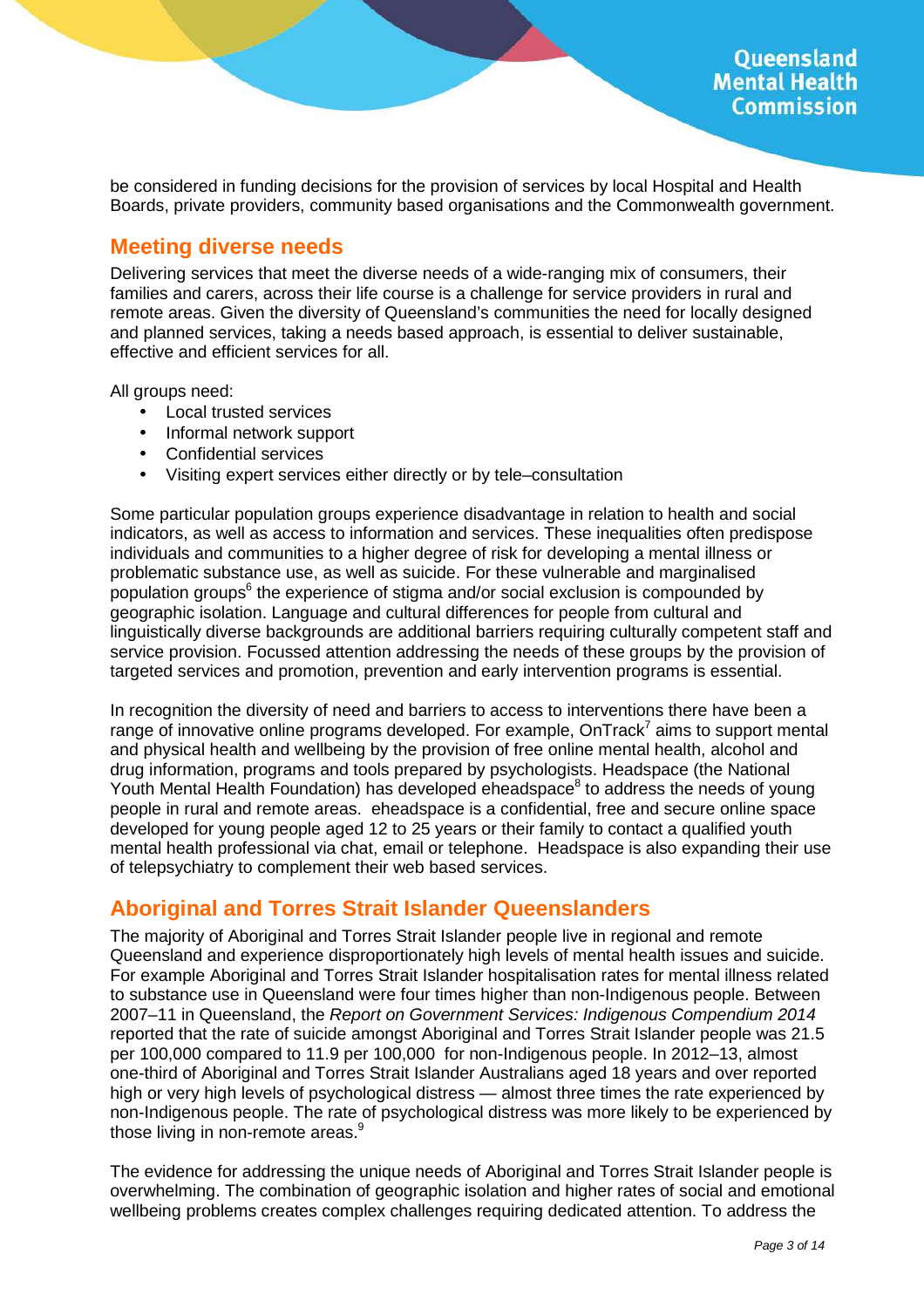be considered in funding decisions for the provision of services by local Hospital and Health Boards, private providers, community based organisations and the Commonwealth government.

### **Meeting diverse needs**

Delivering services that meet the diverse needs of a wide-ranging mix of consumers, their families and carers, across their life course is a challenge for service providers in rural and remote areas. Given the diversity of Queensland's communities the need for locally designed and planned services, taking a needs based approach, is essential to deliver sustainable, effective and efficient services for all.

All groups need:

- Local trusted services
- Informal network support
- Confidential services
- Visiting expert services either directly or by tele–consultation

Some particular population groups experience disadvantage in relation to health and social indicators, as well as access to information and services. These inequalities often predispose individuals and communities to a higher degree of risk for developing a mental illness or problematic substance use, as well as suicide. For these vulnerable and marginalised population groups<sup>6</sup> the experience of stigma and/or social exclusion is compounded by geographic isolation. Language and cultural differences for people from cultural and linguistically diverse backgrounds are additional barriers requiring culturally competent staff and service provision. Focussed attention addressing the needs of these groups by the provision of targeted services and promotion, prevention and early intervention programs is essential.

In recognition the diversity of need and barriers to access to interventions there have been a range of innovative online programs developed. For example, OnTrack<sup>7</sup> aims to support mental and physical health and wellbeing by the provision of free online mental health, alcohol and drug information, programs and tools prepared by psychologists. Headspace (the National Youth Mental Health Foundation) has developed eheadspace<sup>8</sup> to address the needs of young people in rural and remote areas. eheadspace is a confidential, free and secure online space developed for young people aged 12 to 25 years or their family to contact a qualified youth mental health professional via chat, email or telephone. Headspace is also expanding their use of telepsychiatry to complement their web based services.

## **Aboriginal and Torres Strait Islander Queenslanders**

The majority of Aboriginal and Torres Strait Islander people live in regional and remote Queensland and experience disproportionately high levels of mental health issues and suicide. For example Aboriginal and Torres Strait Islander hospitalisation rates for mental illness related to substance use in Queensland were four times higher than non-Indigenous people. Between 2007–11 in Queensland, the Report on Government Services: Indigenous Compendium 2014 reported that the rate of suicide amongst Aboriginal and Torres Strait Islander people was 21.5 per 100,000 compared to 11.9 per 100,000 for non-Indigenous people. In 2012–13, almost one-third of Aboriginal and Torres Strait Islander Australians aged 18 years and over reported high or very high levels of psychological distress — almost three times the rate experienced by non-Indigenous people. The rate of psychological distress was more likely to be experienced by those living in non-remote areas.<sup>9</sup>

The evidence for addressing the unique needs of Aboriginal and Torres Strait Islander people is overwhelming. The combination of geographic isolation and higher rates of social and emotional wellbeing problems creates complex challenges requiring dedicated attention. To address the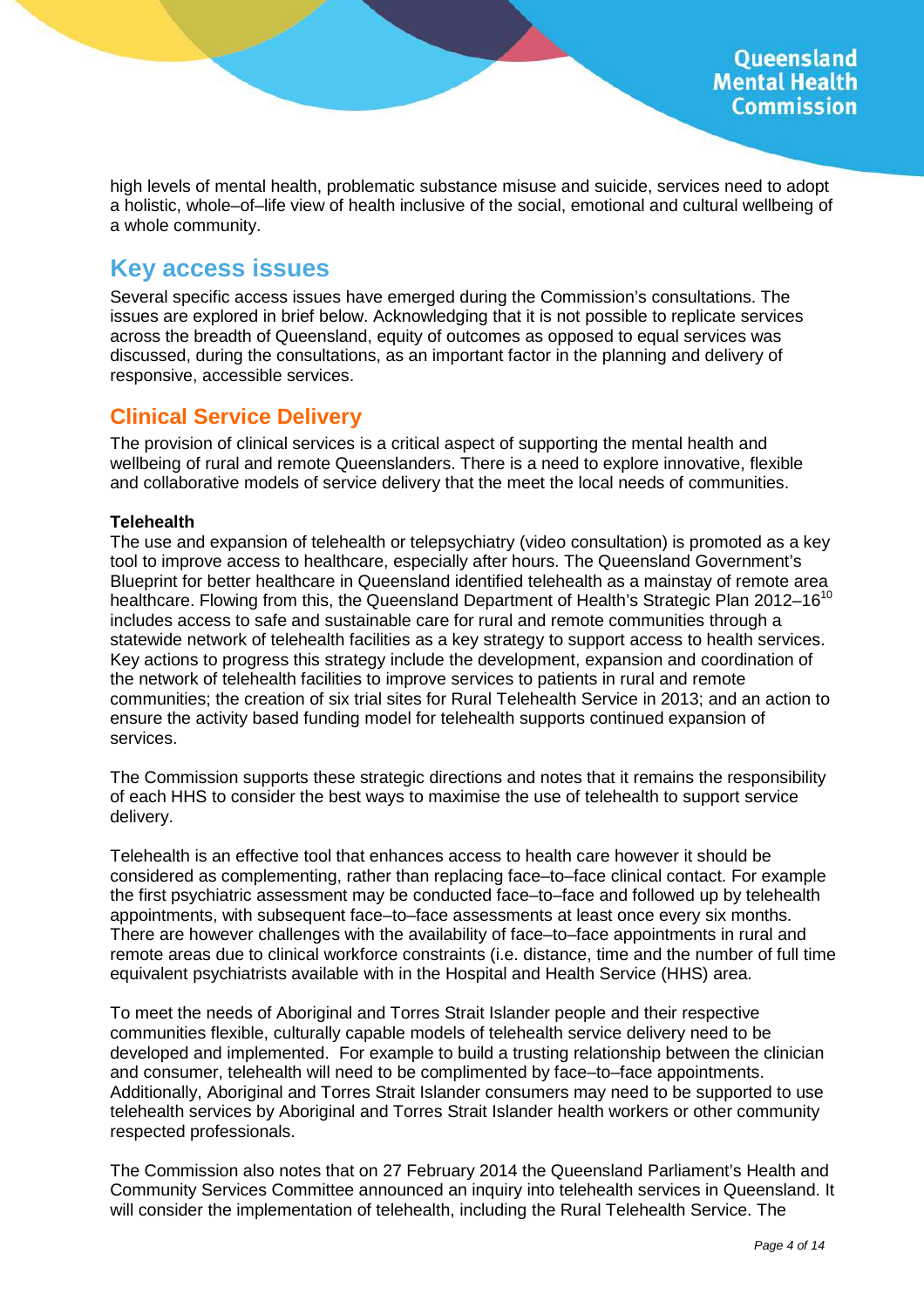high levels of mental health, problematic substance misuse and suicide, services need to adopt a holistic, whole–of–life view of health inclusive of the social, emotional and cultural wellbeing of a whole community.

## **Key access issues**

Several specific access issues have emerged during the Commission's consultations. The issues are explored in brief below. Acknowledging that it is not possible to replicate services across the breadth of Queensland, equity of outcomes as opposed to equal services was discussed, during the consultations, as an important factor in the planning and delivery of responsive, accessible services.

## **Clinical Service Delivery**

The provision of clinical services is a critical aspect of supporting the mental health and wellbeing of rural and remote Queenslanders. There is a need to explore innovative, flexible and collaborative models of service delivery that the meet the local needs of communities.

#### **Telehealth**

The use and expansion of telehealth or telepsychiatry (video consultation) is promoted as a key tool to improve access to healthcare, especially after hours. The Queensland Government's Blueprint for better healthcare in Queensland identified telehealth as a mainstay of remote area healthcare. Flowing from this, the Queensland Department of Health's Strategic Plan 2012-16<sup>10</sup> includes access to safe and sustainable care for rural and remote communities through a statewide network of telehealth facilities as a key strategy to support access to health services. Key actions to progress this strategy include the development, expansion and coordination of the network of telehealth facilities to improve services to patients in rural and remote communities; the creation of six trial sites for Rural Telehealth Service in 2013; and an action to ensure the activity based funding model for telehealth supports continued expansion of services.

The Commission supports these strategic directions and notes that it remains the responsibility of each HHS to consider the best ways to maximise the use of telehealth to support service delivery.

Telehealth is an effective tool that enhances access to health care however it should be considered as complementing, rather than replacing face–to–face clinical contact. For example the first psychiatric assessment may be conducted face–to–face and followed up by telehealth appointments, with subsequent face–to–face assessments at least once every six months. There are however challenges with the availability of face–to–face appointments in rural and remote areas due to clinical workforce constraints (i.e. distance, time and the number of full time equivalent psychiatrists available with in the Hospital and Health Service (HHS) area.

To meet the needs of Aboriginal and Torres Strait Islander people and their respective communities flexible, culturally capable models of telehealth service delivery need to be developed and implemented. For example to build a trusting relationship between the clinician and consumer, telehealth will need to be complimented by face–to–face appointments. Additionally, Aboriginal and Torres Strait Islander consumers may need to be supported to use telehealth services by Aboriginal and Torres Strait Islander health workers or other community respected professionals.

The Commission also notes that on 27 February 2014 the Queensland Parliament's Health and Community Services Committee announced an inquiry into telehealth services in Queensland. It will consider the implementation of telehealth, including the Rural Telehealth Service. The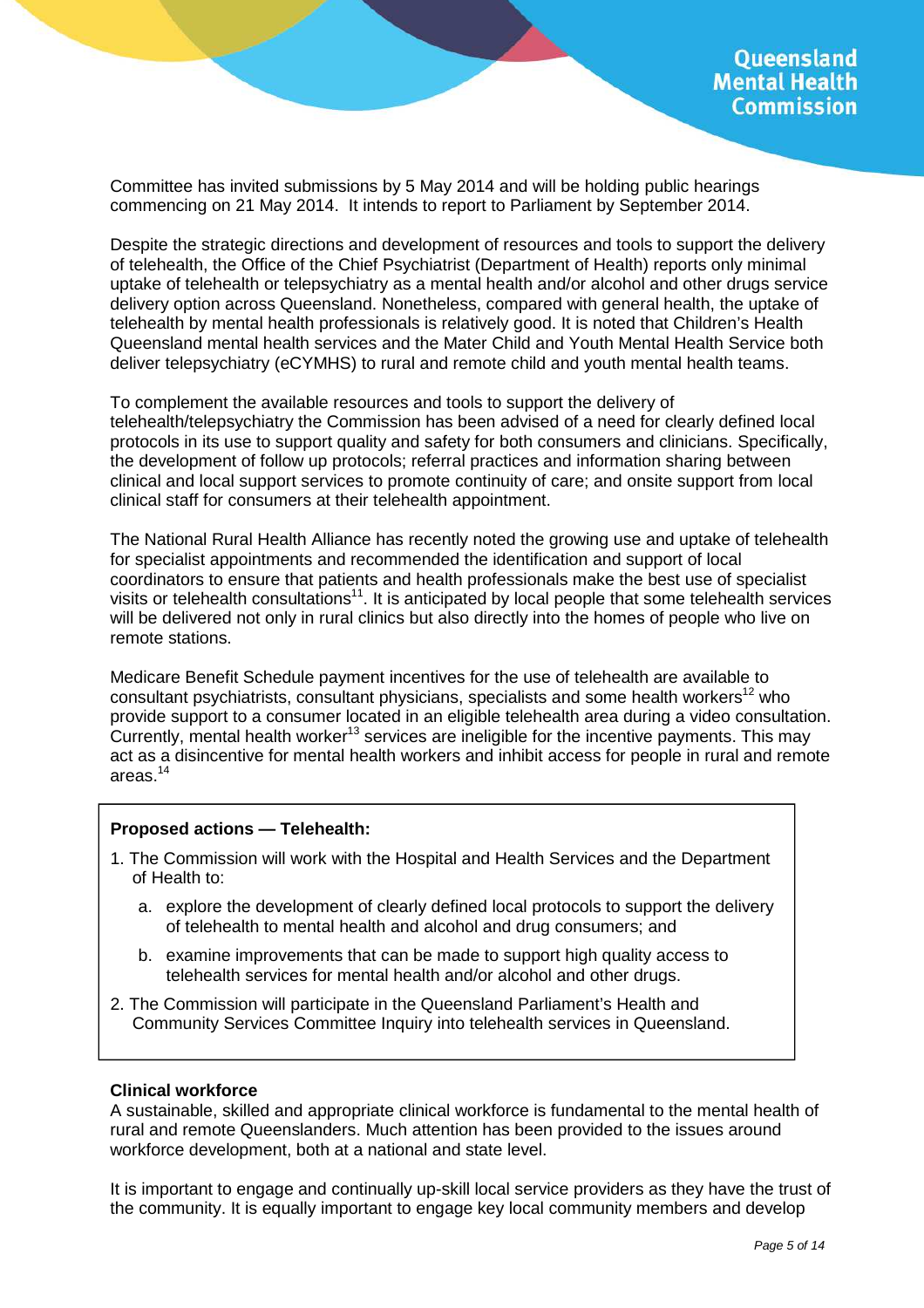Committee has invited submissions by 5 May 2014 and will be holding public hearings commencing on 21 May 2014. It intends to report to Parliament by September 2014.

Despite the strategic directions and development of resources and tools to support the delivery of telehealth, the Office of the Chief Psychiatrist (Department of Health) reports only minimal uptake of telehealth or telepsychiatry as a mental health and/or alcohol and other drugs service delivery option across Queensland. Nonetheless, compared with general health, the uptake of telehealth by mental health professionals is relatively good. It is noted that Children's Health Queensland mental health services and the Mater Child and Youth Mental Health Service both deliver telepsychiatry (eCYMHS) to rural and remote child and youth mental health teams.

To complement the available resources and tools to support the delivery of telehealth/telepsychiatry the Commission has been advised of a need for clearly defined local protocols in its use to support quality and safety for both consumers and clinicians. Specifically, the development of follow up protocols; referral practices and information sharing between clinical and local support services to promote continuity of care; and onsite support from local clinical staff for consumers at their telehealth appointment.

The National Rural Health Alliance has recently noted the growing use and uptake of telehealth for specialist appointments and recommended the identification and support of local coordinators to ensure that patients and health professionals make the best use of specialist visits or telehealth consultations<sup>11</sup>. It is anticipated by local people that some telehealth services will be delivered not only in rural clinics but also directly into the homes of people who live on remote stations.

Medicare Benefit Schedule payment incentives for the use of telehealth are available to consultant psychiatrists, consultant physicians, specialists and some health workers<sup>12</sup> who provide support to a consumer located in an eligible telehealth area during a video consultation. Currently, mental health worker<sup>13</sup> services are ineligible for the incentive payments. This may act as a disincentive for mental health workers and inhibit access for people in rural and remote areas.<sup>14</sup>

#### **Proposed actions — Telehealth:**

- 1. The Commission will work with the Hospital and Health Services and the Department of Health to:
	- a. explore the development of clearly defined local protocols to support the delivery of telehealth to mental health and alcohol and drug consumers; and
	- b. examine improvements that can be made to support high quality access to telehealth services for mental health and/or alcohol and other drugs.
- 2. The Commission will participate in the Queensland Parliament's Health and Community Services Committee Inquiry into telehealth services in Queensland.

#### **Clinical workforce**

A sustainable, skilled and appropriate clinical workforce is fundamental to the mental health of rural and remote Queenslanders. Much attention has been provided to the issues around workforce development, both at a national and state level.

It is important to engage and continually up-skill local service providers as they have the trust of the community. It is equally important to engage key local community members and develop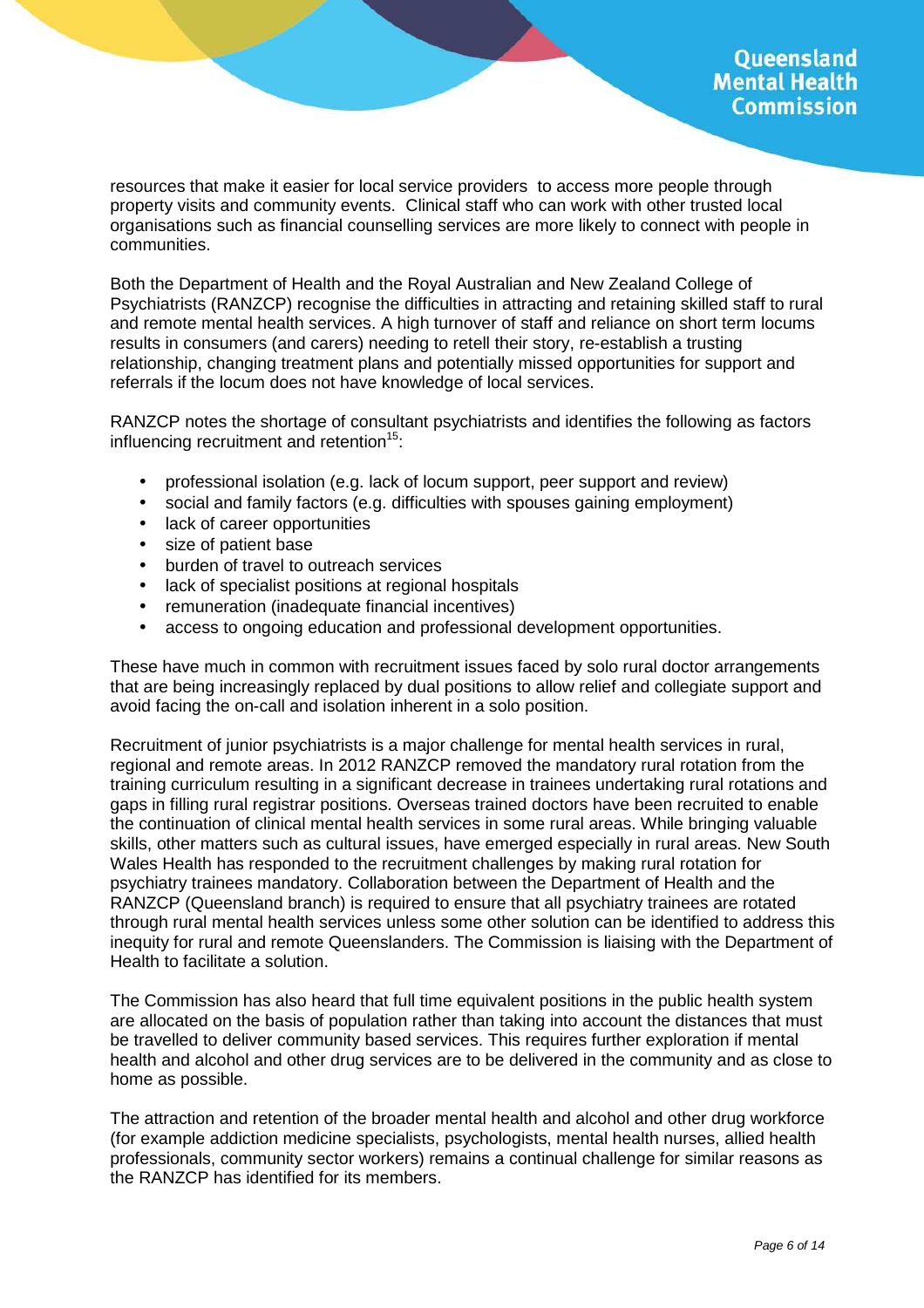resources that make it easier for local service providers to access more people through property visits and community events. Clinical staff who can work with other trusted local organisations such as financial counselling services are more likely to connect with people in communities.

Both the Department of Health and the Royal Australian and New Zealand College of Psychiatrists (RANZCP) recognise the difficulties in attracting and retaining skilled staff to rural and remote mental health services. A high turnover of staff and reliance on short term locums results in consumers (and carers) needing to retell their story, re-establish a trusting relationship, changing treatment plans and potentially missed opportunities for support and referrals if the locum does not have knowledge of local services.

RANZCP notes the shortage of consultant psychiatrists and identifies the following as factors influencing recruitment and retention<sup>15</sup>:

- professional isolation (e.g. lack of locum support, peer support and review)
- social and family factors (e.g. difficulties with spouses gaining employment)
- lack of career opportunities
- size of patient base
- burden of travel to outreach services
- lack of specialist positions at regional hospitals
- remuneration (inadequate financial incentives)
- access to ongoing education and professional development opportunities.

These have much in common with recruitment issues faced by solo rural doctor arrangements that are being increasingly replaced by dual positions to allow relief and collegiate support and avoid facing the on-call and isolation inherent in a solo position.

Recruitment of junior psychiatrists is a major challenge for mental health services in rural, regional and remote areas. In 2012 RANZCP removed the mandatory rural rotation from the training curriculum resulting in a significant decrease in trainees undertaking rural rotations and gaps in filling rural registrar positions. Overseas trained doctors have been recruited to enable the continuation of clinical mental health services in some rural areas. While bringing valuable skills, other matters such as cultural issues, have emerged especially in rural areas. New South Wales Health has responded to the recruitment challenges by making rural rotation for psychiatry trainees mandatory. Collaboration between the Department of Health and the RANZCP (Queensland branch) is required to ensure that all psychiatry trainees are rotated through rural mental health services unless some other solution can be identified to address this inequity for rural and remote Queenslanders. The Commission is liaising with the Department of Health to facilitate a solution.

The Commission has also heard that full time equivalent positions in the public health system are allocated on the basis of population rather than taking into account the distances that must be travelled to deliver community based services. This requires further exploration if mental health and alcohol and other drug services are to be delivered in the community and as close to home as possible.

The attraction and retention of the broader mental health and alcohol and other drug workforce (for example addiction medicine specialists, psychologists, mental health nurses, allied health professionals, community sector workers) remains a continual challenge for similar reasons as the RANZCP has identified for its members.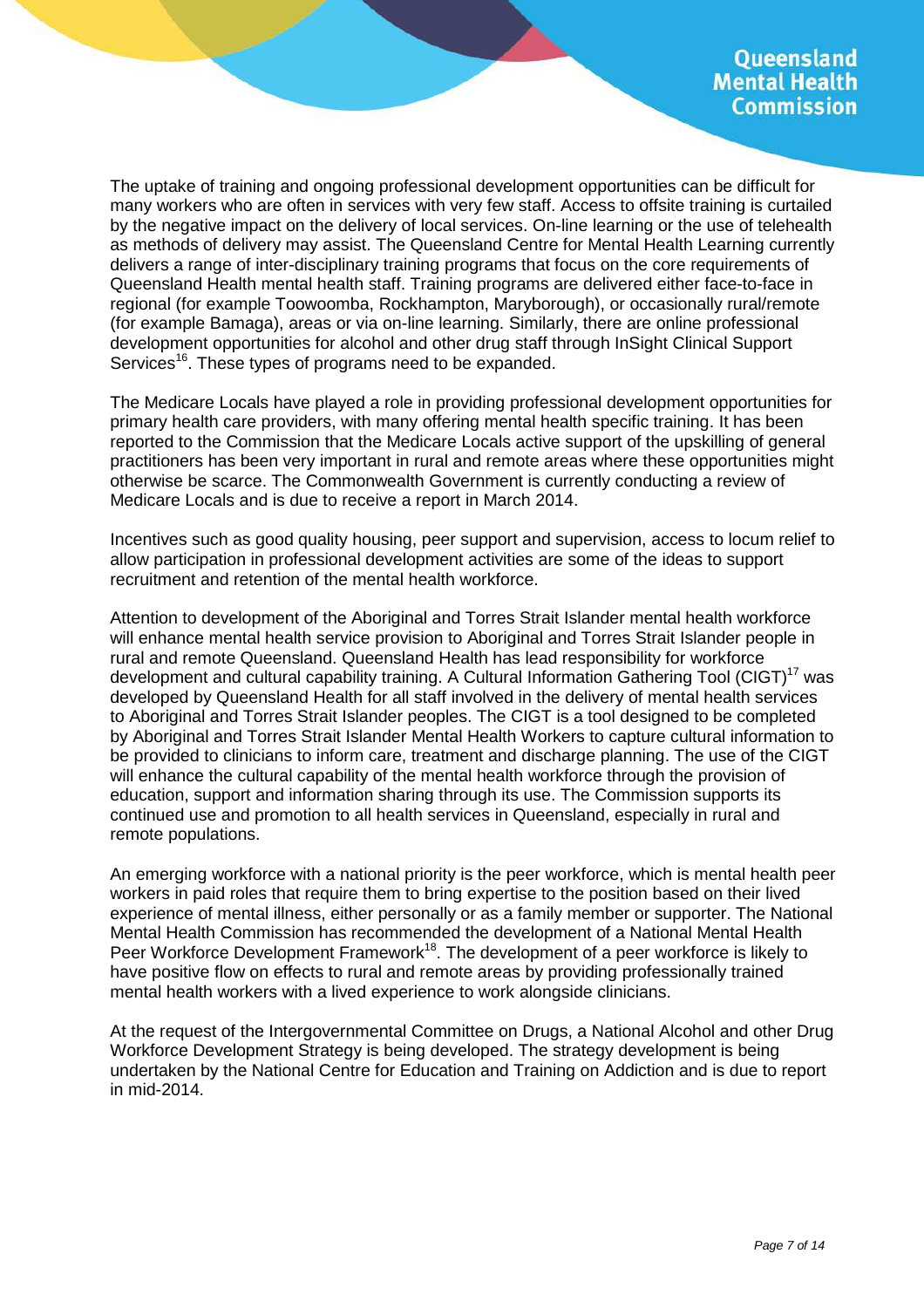The uptake of training and ongoing professional development opportunities can be difficult for many workers who are often in services with very few staff. Access to offsite training is curtailed by the negative impact on the delivery of local services. On-line learning or the use of telehealth as methods of delivery may assist. The Queensland Centre for Mental Health Learning currently delivers a range of inter-disciplinary training programs that focus on the core requirements of Queensland Health mental health staff. Training programs are delivered either face-to-face in regional (for example Toowoomba, Rockhampton, Maryborough), or occasionally rural/remote (for example Bamaga), areas or via on-line learning. Similarly, there are online professional development opportunities for alcohol and other drug staff through InSight Clinical Support Services<sup>16</sup>. These types of programs need to be expanded.

The Medicare Locals have played a role in providing professional development opportunities for primary health care providers, with many offering mental health specific training. It has been reported to the Commission that the Medicare Locals active support of the upskilling of general practitioners has been very important in rural and remote areas where these opportunities might otherwise be scarce. The Commonwealth Government is currently conducting a review of Medicare Locals and is due to receive a report in March 2014.

Incentives such as good quality housing, peer support and supervision, access to locum relief to allow participation in professional development activities are some of the ideas to support recruitment and retention of the mental health workforce.

Attention to development of the Aboriginal and Torres Strait Islander mental health workforce will enhance mental health service provision to Aboriginal and Torres Strait Islander people in rural and remote Queensland. Queensland Health has lead responsibility for workforce development and cultural capability training. A Cultural Information Gathering Tool (CIGT)<sup>17</sup> was developed by Queensland Health for all staff involved in the delivery of mental health services to Aboriginal and Torres Strait Islander peoples. The CIGT is a tool designed to be completed by Aboriginal and Torres Strait Islander Mental Health Workers to capture cultural information to be provided to clinicians to inform care, treatment and discharge planning. The use of the CIGT will enhance the cultural capability of the mental health workforce through the provision of education, support and information sharing through its use. The Commission supports its continued use and promotion to all health services in Queensland, especially in rural and remote populations.

An emerging workforce with a national priority is the peer workforce, which is mental health peer workers in paid roles that require them to bring expertise to the position based on their lived experience of mental illness, either personally or as a family member or supporter. The National Mental Health Commission has recommended the development of a National Mental Health Peer Workforce Development Framework<sup>18</sup>. The development of a peer workforce is likely to have positive flow on effects to rural and remote areas by providing professionally trained mental health workers with a lived experience to work alongside clinicians.

At the request of the Intergovernmental Committee on Drugs, a National Alcohol and other Drug Workforce Development Strategy is being developed. The strategy development is being undertaken by the National Centre for Education and Training on Addiction and is due to report in mid-2014.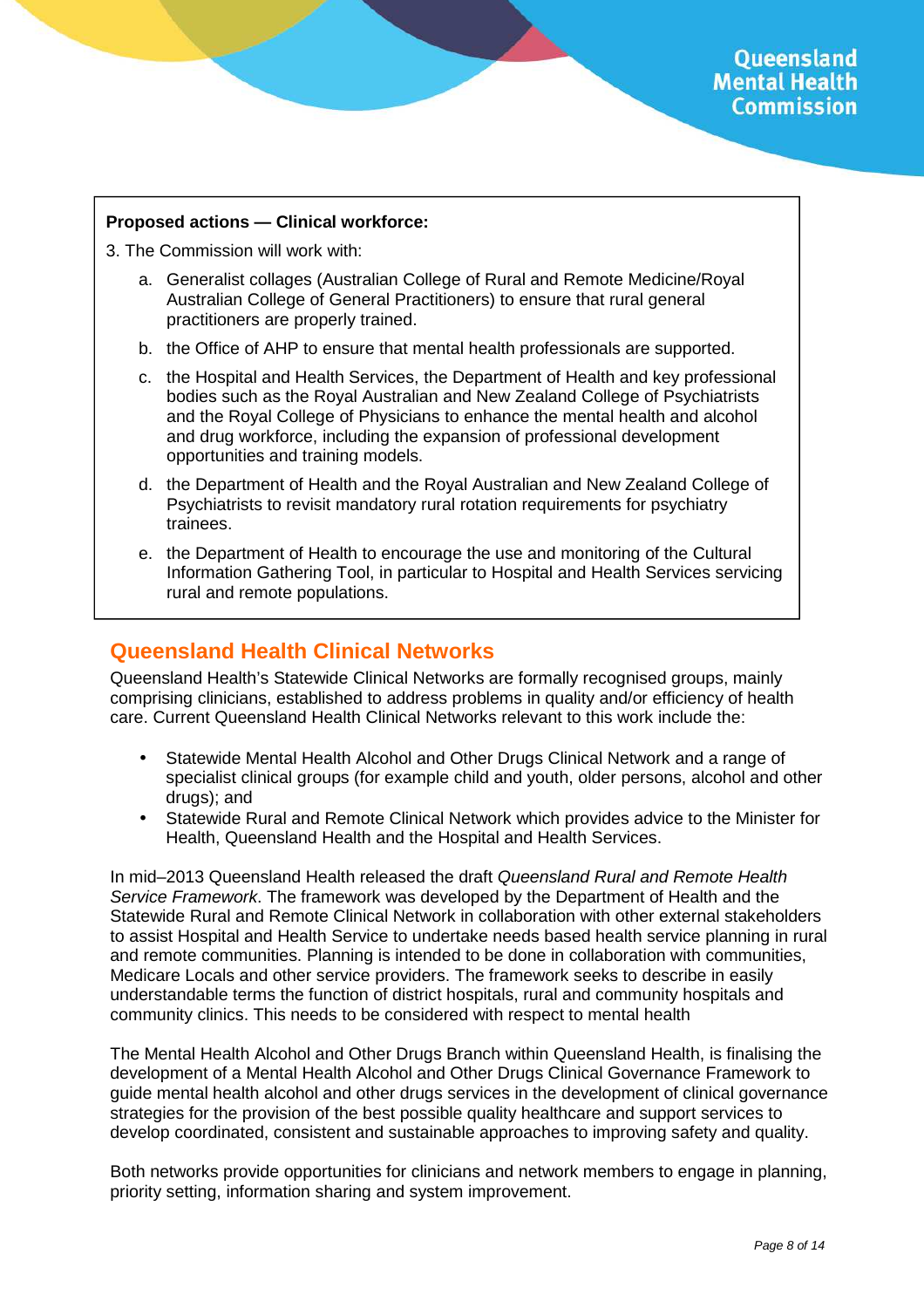#### **Proposed actions — Clinical workforce:**

3. The Commission will work with:

- a. Generalist collages (Australian College of Rural and Remote Medicine/Royal Australian College of General Practitioners) to ensure that rural general practitioners are properly trained.
- b. the Office of AHP to ensure that mental health professionals are supported.
- c. the Hospital and Health Services, the Department of Health and key professional bodies such as the Royal Australian and New Zealand College of Psychiatrists and the Royal College of Physicians to enhance the mental health and alcohol and drug workforce, including the expansion of professional development opportunities and training models.
- d. the Department of Health and the Royal Australian and New Zealand College of Psychiatrists to revisit mandatory rural rotation requirements for psychiatry trainees.
- e. the Department of Health to encourage the use and monitoring of the Cultural Information Gathering Tool, in particular to Hospital and Health Services servicing rural and remote populations.

### **Queensland Health Clinical Networks**

Queensland Health's Statewide Clinical Networks are formally recognised groups, mainly comprising clinicians, established to address problems in quality and/or efficiency of health care. Current Queensland Health Clinical Networks relevant to this work include the:

- Statewide Mental Health Alcohol and Other Drugs Clinical Network and a range of specialist clinical groups (for example child and youth, older persons, alcohol and other drugs); and
- Statewide Rural and Remote Clinical Network which provides advice to the Minister for Health, Queensland Health and the Hospital and Health Services.

In mid–2013 Queensland Health released the draft Queensland Rural and Remote Health Service Framework. The framework was developed by the Department of Health and the Statewide Rural and Remote Clinical Network in collaboration with other external stakeholders to assist Hospital and Health Service to undertake needs based health service planning in rural and remote communities. Planning is intended to be done in collaboration with communities, Medicare Locals and other service providers. The framework seeks to describe in easily understandable terms the function of district hospitals, rural and community hospitals and community clinics. This needs to be considered with respect to mental health

The Mental Health Alcohol and Other Drugs Branch within Queensland Health, is finalising the development of a Mental Health Alcohol and Other Drugs Clinical Governance Framework to guide mental health alcohol and other drugs services in the development of clinical governance strategies for the provision of the best possible quality healthcare and support services to develop coordinated, consistent and sustainable approaches to improving safety and quality.

Both networks provide opportunities for clinicians and network members to engage in planning, priority setting, information sharing and system improvement.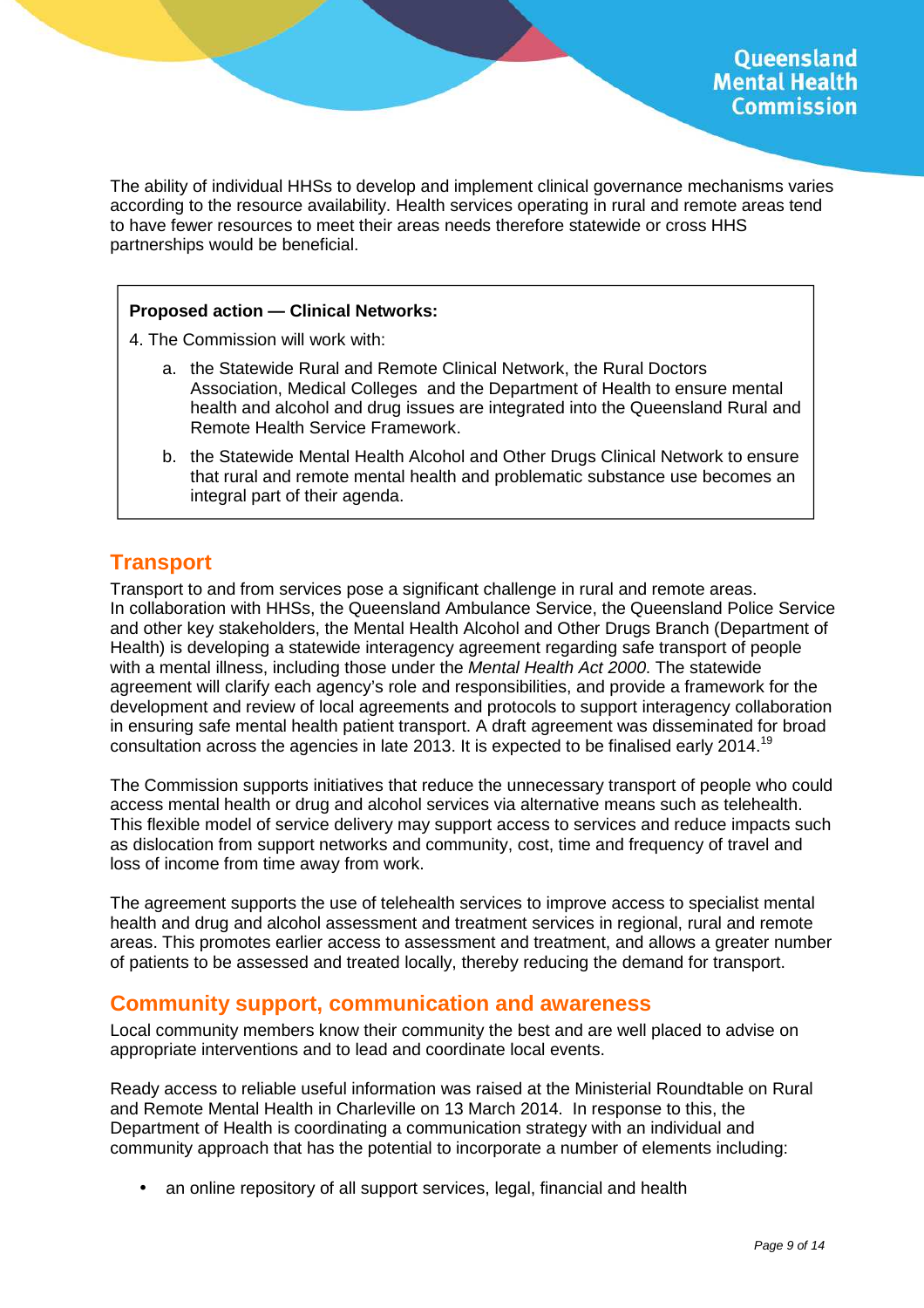The ability of individual HHSs to develop and implement clinical governance mechanisms varies according to the resource availability. Health services operating in rural and remote areas tend to have fewer resources to meet their areas needs therefore statewide or cross HHS partnerships would be beneficial.

#### **Proposed action — Clinical Networks:**

- 4. The Commission will work with:
	- a. the Statewide Rural and Remote Clinical Network, the Rural Doctors Association, Medical Colleges and the Department of Health to ensure mental health and alcohol and drug issues are integrated into the Queensland Rural and Remote Health Service Framework.
	- b. the Statewide Mental Health Alcohol and Other Drugs Clinical Network to ensure that rural and remote mental health and problematic substance use becomes an integral part of their agenda.

### **Transport**

Transport to and from services pose a significant challenge in rural and remote areas. In collaboration with HHSs, the Queensland Ambulance Service, the Queensland Police Service and other key stakeholders, the Mental Health Alcohol and Other Drugs Branch (Department of Health) is developing a statewide interagency agreement regarding safe transport of people with a mental illness, including those under the *Mental Health Act 2000*. The statewide agreement will clarify each agency's role and responsibilities, and provide a framework for the development and review of local agreements and protocols to support interagency collaboration in ensuring safe mental health patient transport. A draft agreement was disseminated for broad consultation across the agencies in late 2013. It is expected to be finalised early 2014.<sup>19</sup>

The Commission supports initiatives that reduce the unnecessary transport of people who could access mental health or drug and alcohol services via alternative means such as telehealth. This flexible model of service delivery may support access to services and reduce impacts such as dislocation from support networks and community, cost, time and frequency of travel and loss of income from time away from work.

The agreement supports the use of telehealth services to improve access to specialist mental health and drug and alcohol assessment and treatment services in regional, rural and remote areas. This promotes earlier access to assessment and treatment, and allows a greater number of patients to be assessed and treated locally, thereby reducing the demand for transport.

#### **Community support, communication and awareness**

Local community members know their community the best and are well placed to advise on appropriate interventions and to lead and coordinate local events.

Ready access to reliable useful information was raised at the Ministerial Roundtable on Rural and Remote Mental Health in Charleville on 13 March 2014. In response to this, the Department of Health is coordinating a communication strategy with an individual and community approach that has the potential to incorporate a number of elements including:

• an online repository of all support services, legal, financial and health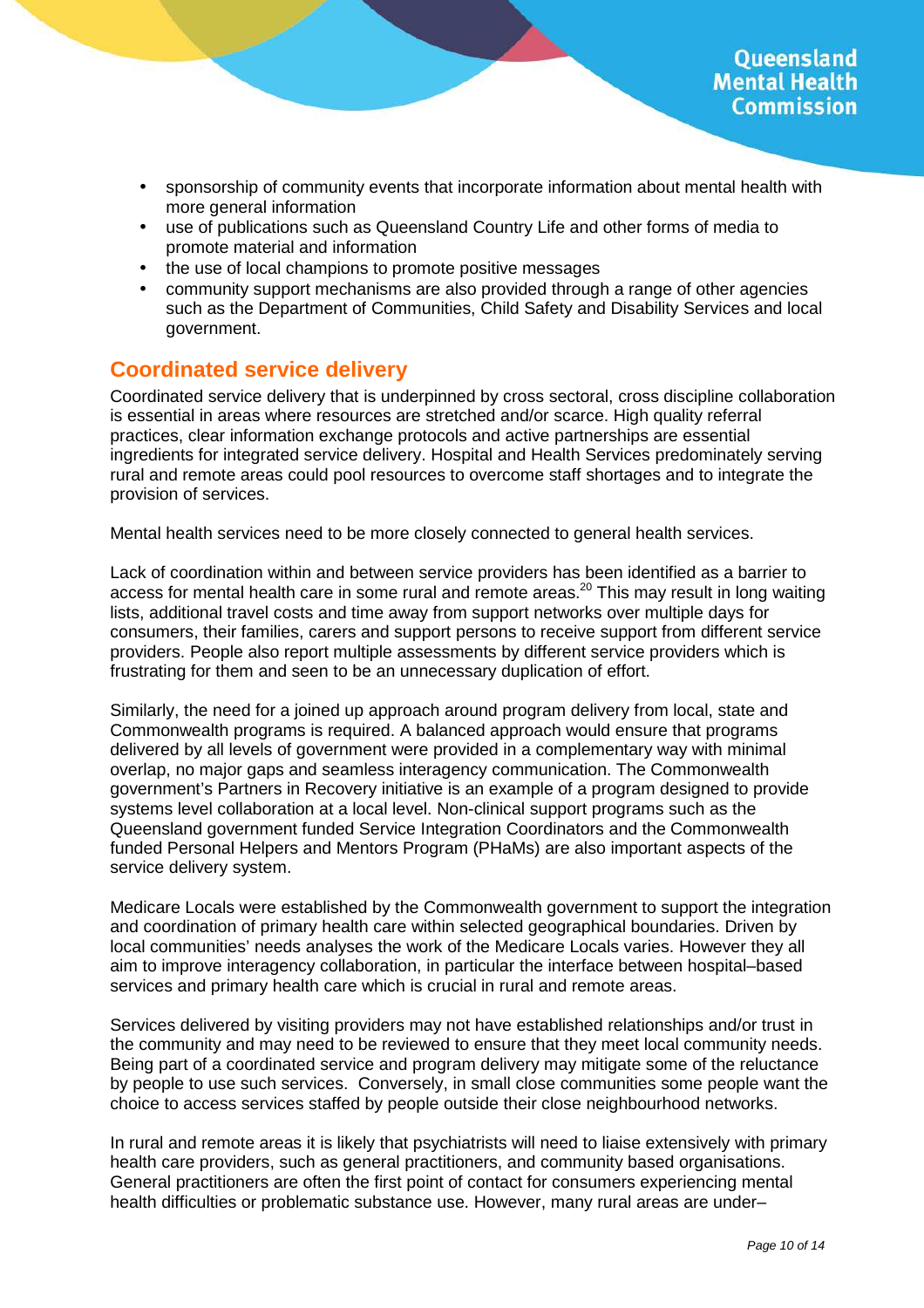- sponsorship of community events that incorporate information about mental health with more general information
- use of publications such as Queensland Country Life and other forms of media to promote material and information
- the use of local champions to promote positive messages
- community support mechanisms are also provided through a range of other agencies such as the Department of Communities, Child Safety and Disability Services and local government.

## **Coordinated service delivery**

Coordinated service delivery that is underpinned by cross sectoral, cross discipline collaboration is essential in areas where resources are stretched and/or scarce. High quality referral practices, clear information exchange protocols and active partnerships are essential ingredients for integrated service delivery. Hospital and Health Services predominately serving rural and remote areas could pool resources to overcome staff shortages and to integrate the provision of services.

Mental health services need to be more closely connected to general health services.

Lack of coordination within and between service providers has been identified as a barrier to access for mental health care in some rural and remote areas.<sup>20</sup> This may result in long waiting lists, additional travel costs and time away from support networks over multiple days for consumers, their families, carers and support persons to receive support from different service providers. People also report multiple assessments by different service providers which is frustrating for them and seen to be an unnecessary duplication of effort.

Similarly, the need for a joined up approach around program delivery from local, state and Commonwealth programs is required. A balanced approach would ensure that programs delivered by all levels of government were provided in a complementary way with minimal overlap, no major gaps and seamless interagency communication. The Commonwealth government's Partners in Recovery initiative is an example of a program designed to provide systems level collaboration at a local level. Non-clinical support programs such as the Queensland government funded Service Integration Coordinators and the Commonwealth funded Personal Helpers and Mentors Program (PHaMs) are also important aspects of the service delivery system.

Medicare Locals were established by the Commonwealth government to support the integration and coordination of primary health care within selected geographical boundaries. Driven by local communities' needs analyses the work of the Medicare Locals varies. However they all aim to improve interagency collaboration, in particular the interface between hospital–based services and primary health care which is crucial in rural and remote areas.

Services delivered by visiting providers may not have established relationships and/or trust in the community and may need to be reviewed to ensure that they meet local community needs. Being part of a coordinated service and program delivery may mitigate some of the reluctance by people to use such services. Conversely, in small close communities some people want the choice to access services staffed by people outside their close neighbourhood networks.

In rural and remote areas it is likely that psychiatrists will need to liaise extensively with primary health care providers, such as general practitioners, and community based organisations. General practitioners are often the first point of contact for consumers experiencing mental health difficulties or problematic substance use. However, many rural areas are under–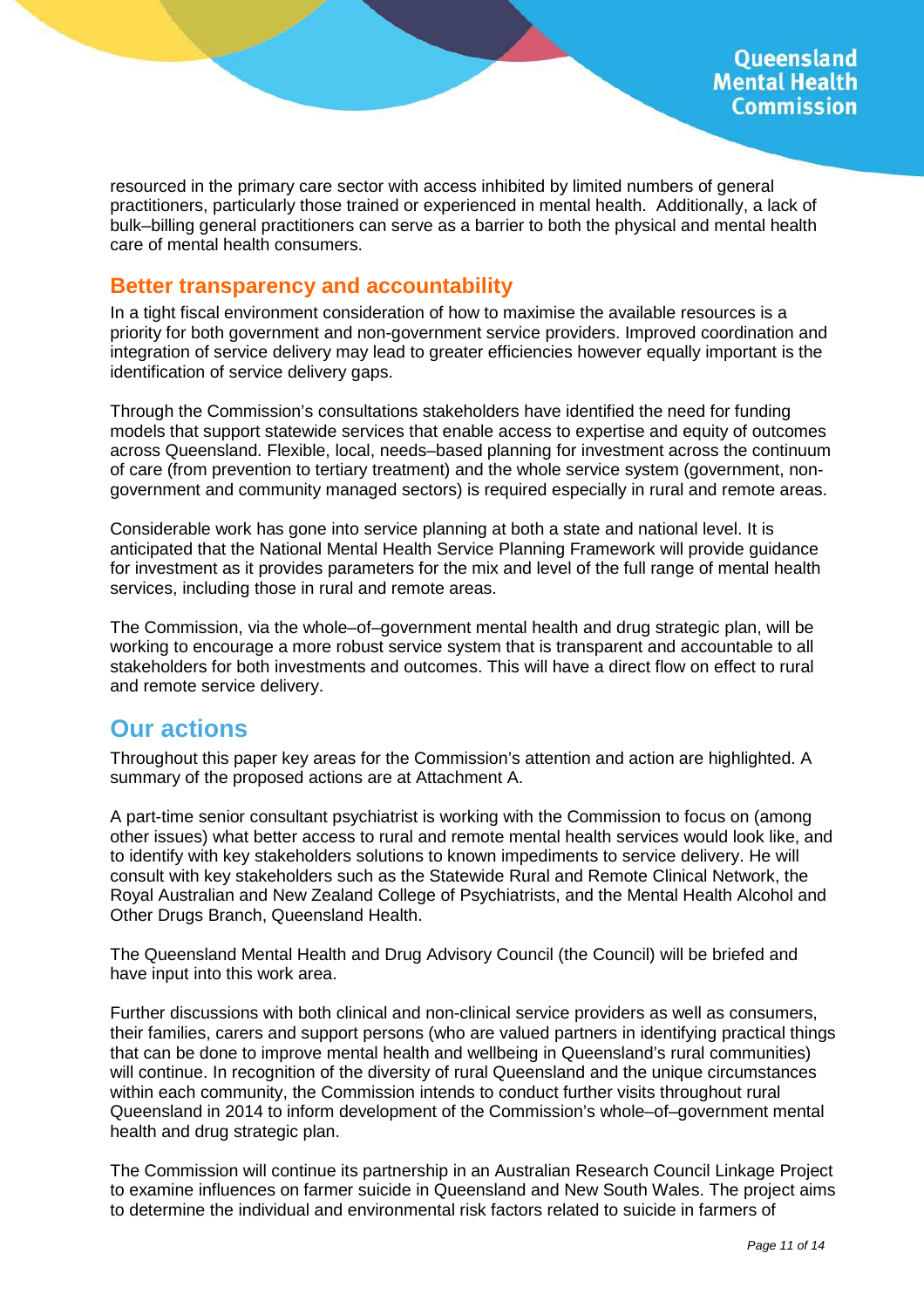resourced in the primary care sector with access inhibited by limited numbers of general practitioners, particularly those trained or experienced in mental health. Additionally, a lack of bulk–billing general practitioners can serve as a barrier to both the physical and mental health care of mental health consumers.

### **Better transparency and accountability**

In a tight fiscal environment consideration of how to maximise the available resources is a priority for both government and non-government service providers. Improved coordination and integration of service delivery may lead to greater efficiencies however equally important is the identification of service delivery gaps.

Through the Commission's consultations stakeholders have identified the need for funding models that support statewide services that enable access to expertise and equity of outcomes across Queensland. Flexible, local, needs–based planning for investment across the continuum of care (from prevention to tertiary treatment) and the whole service system (government, nongovernment and community managed sectors) is required especially in rural and remote areas.

Considerable work has gone into service planning at both a state and national level. It is anticipated that the National Mental Health Service Planning Framework will provide guidance for investment as it provides parameters for the mix and level of the full range of mental health services, including those in rural and remote areas.

The Commission, via the whole–of–government mental health and drug strategic plan, will be working to encourage a more robust service system that is transparent and accountable to all stakeholders for both investments and outcomes. This will have a direct flow on effect to rural and remote service delivery.

## **Our actions**

Throughout this paper key areas for the Commission's attention and action are highlighted. A summary of the proposed actions are at Attachment A.

A part-time senior consultant psychiatrist is working with the Commission to focus on (among other issues) what better access to rural and remote mental health services would look like, and to identify with key stakeholders solutions to known impediments to service delivery. He will consult with key stakeholders such as the Statewide Rural and Remote Clinical Network, the Royal Australian and New Zealand College of Psychiatrists, and the Mental Health Alcohol and Other Drugs Branch, Queensland Health.

The Queensland Mental Health and Drug Advisory Council (the Council) will be briefed and have input into this work area.

Further discussions with both clinical and non-clinical service providers as well as consumers, their families, carers and support persons (who are valued partners in identifying practical things that can be done to improve mental health and wellbeing in Queensland's rural communities) will continue. In recognition of the diversity of rural Queensland and the unique circumstances within each community, the Commission intends to conduct further visits throughout rural Queensland in 2014 to inform development of the Commission's whole–of–government mental health and drug strategic plan.

The Commission will continue its partnership in an Australian Research Council Linkage Project to examine influences on farmer suicide in Queensland and New South Wales. The project aims to determine the individual and environmental risk factors related to suicide in farmers of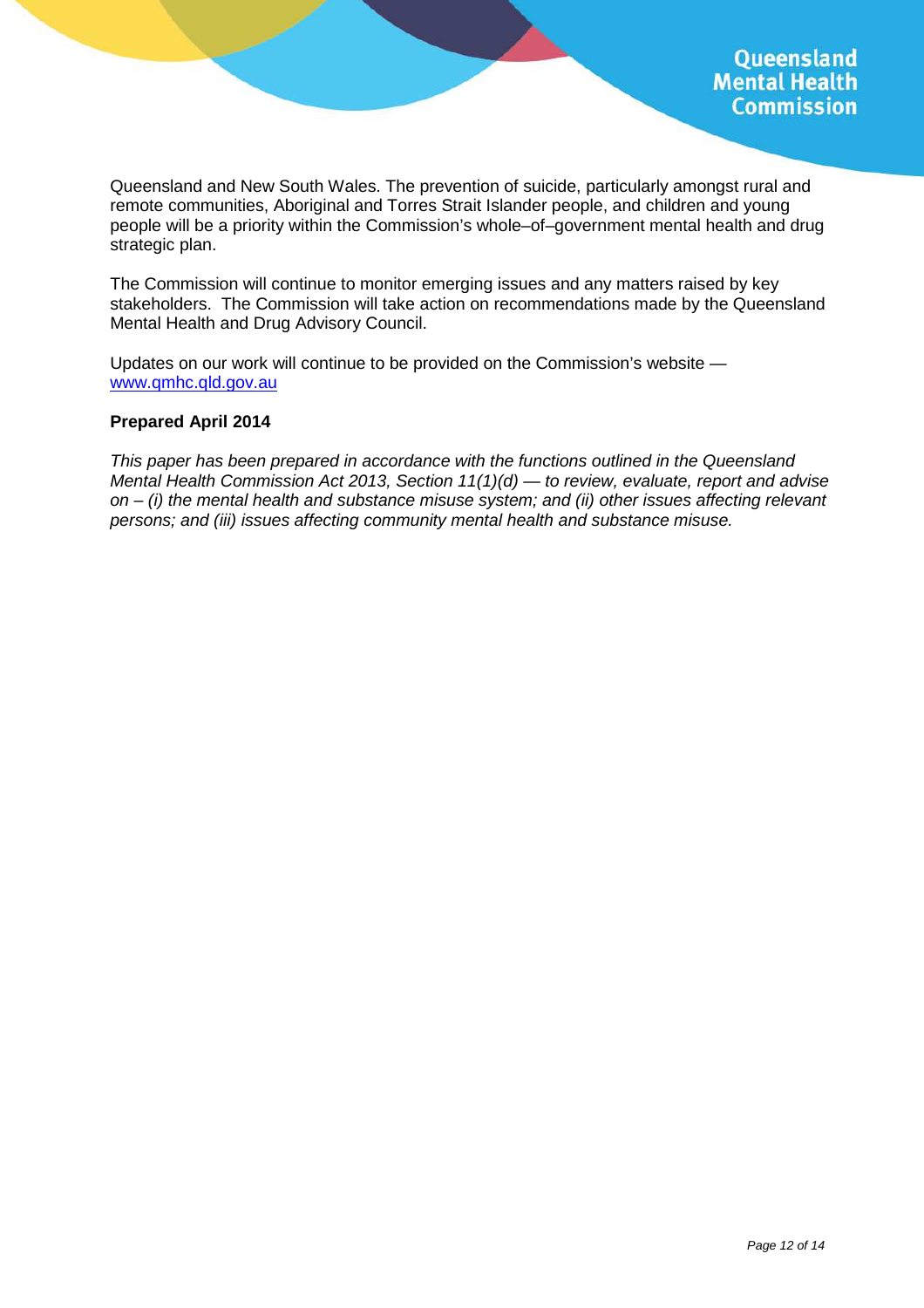Queensland and New South Wales. The prevention of suicide, particularly amongst rural and remote communities, Aboriginal and Torres Strait Islander people, and children and young people will be a priority within the Commission's whole–of–government mental health and drug strategic plan.

The Commission will continue to monitor emerging issues and any matters raised by key stakeholders. The Commission will take action on recommendations made by the Queensland Mental Health and Drug Advisory Council.

Updates on our work will continue to be provided on the Commission's website www.qmhc.qld.gov.au

#### **Prepared April 2014**

This paper has been prepared in accordance with the functions outlined in the Queensland Mental Health Commission Act 2013, Section  $11(1)(d)$  — to review, evaluate, report and advise on  $-$  (i) the mental health and substance misuse system; and (ii) other issues affecting relevant persons; and (iii) issues affecting community mental health and substance misuse.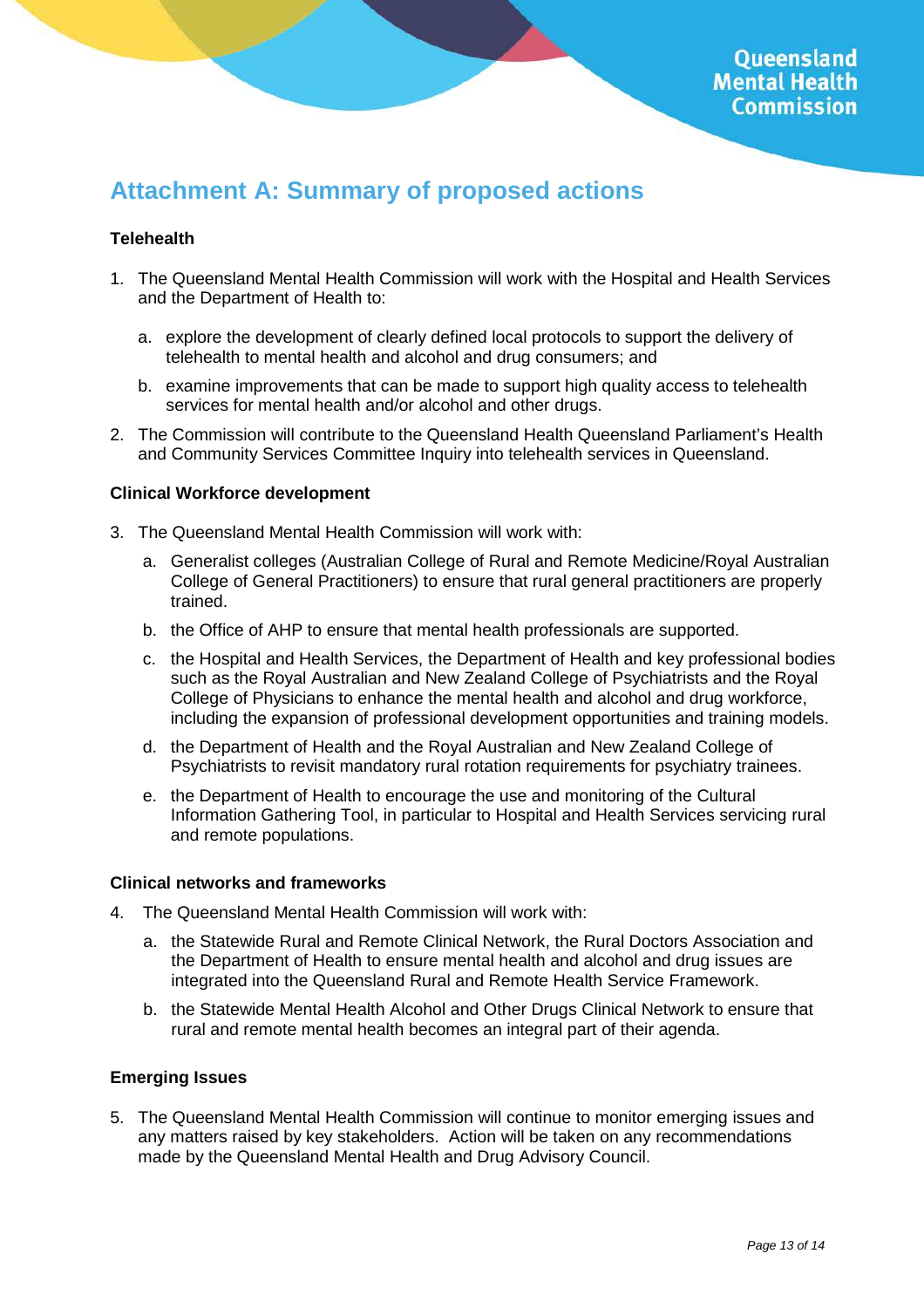# **Attachment A: Summary of proposed actions**

#### **Telehealth**

- 1. The Queensland Mental Health Commission will work with the Hospital and Health Services and the Department of Health to:
	- a. explore the development of clearly defined local protocols to support the delivery of telehealth to mental health and alcohol and drug consumers; and
	- b. examine improvements that can be made to support high quality access to telehealth services for mental health and/or alcohol and other drugs.
- 2. The Commission will contribute to the Queensland Health Queensland Parliament's Health and Community Services Committee Inquiry into telehealth services in Queensland.

#### **Clinical Workforce development**

- 3. The Queensland Mental Health Commission will work with:
	- a. Generalist colleges (Australian College of Rural and Remote Medicine/Royal Australian College of General Practitioners) to ensure that rural general practitioners are properly trained.
	- b. the Office of AHP to ensure that mental health professionals are supported.
	- c. the Hospital and Health Services, the Department of Health and key professional bodies such as the Royal Australian and New Zealand College of Psychiatrists and the Royal College of Physicians to enhance the mental health and alcohol and drug workforce, including the expansion of professional development opportunities and training models.
	- d. the Department of Health and the Royal Australian and New Zealand College of Psychiatrists to revisit mandatory rural rotation requirements for psychiatry trainees.
	- e. the Department of Health to encourage the use and monitoring of the Cultural Information Gathering Tool, in particular to Hospital and Health Services servicing rural and remote populations.

#### **Clinical networks and frameworks**

- 4. The Queensland Mental Health Commission will work with:
	- a. the Statewide Rural and Remote Clinical Network, the Rural Doctors Association and the Department of Health to ensure mental health and alcohol and drug issues are integrated into the Queensland Rural and Remote Health Service Framework.
	- b. the Statewide Mental Health Alcohol and Other Drugs Clinical Network to ensure that rural and remote mental health becomes an integral part of their agenda.

#### **Emerging Issues**

5. The Queensland Mental Health Commission will continue to monitor emerging issues and any matters raised by key stakeholders. Action will be taken on any recommendations made by the Queensland Mental Health and Drug Advisory Council.